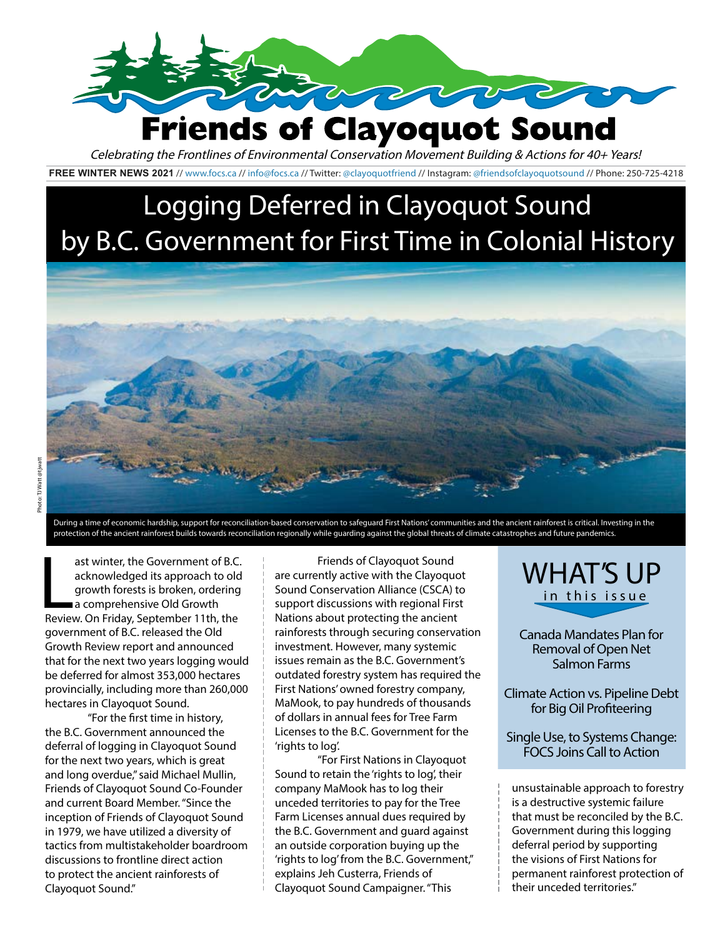

#### **FREE WINTER NEWS 2021** //<www.focs.ca>// [info@focs.ca](mailto:info@focs.ca) // Twitter: @clayoquotfriend // Instagram: @friendsofclayoquotsound // Phone: 250-725-4218 Celebrating the Frontlines of Environmental Conservation Movement Building & Actions for 40+ Years!

# Logging Deferred in Clayoquot Sound by B.C. Government for First Time in Colonial History



During a time of economic hardship, support for reconciliation-based conservation to safeguard First Nations' communities and the ancient rainforest is critical. Investing in the protection of the ancient rainforest builds towards reconciliation regionally while guarding against the global threats of climate catastrophes and future pandemics.

ast winter, the Government of B.C<br>acknowledged its approach to old<br>growth forests is broken, ordering<br>a comprehensive Old Growth<br>Review. On Friday, September 11th, the ast winter, the Government of B.C. acknowledged its approach to old growth forests is broken, ordering a comprehensive Old Growth government of B.C. released the Old Growth Review report and announced that for the next two years logging would be deferred for almost 353,000 hectares provincially, including more than 260,000 hectares in Clayoquot Sound.

"For the first time in history, the B.C. Government announced the deferral of logging in Clayoquot Sound for the next two years, which is great and long overdue," said Michael Mullin, Friends of Clayoquot Sound Co-Founder and current Board Member. "Since the inception of Friends of Clayoquot Sound in 1979, we have utilized a diversity of tactics from multistakeholder boardroom discussions to frontline direct action to protect the ancient rainforests of Clayoquot Sound."

Friends of Clayoquot Sound are currently active with the Clayoquot Sound Conservation Alliance (CSCA) to support discussions with regional First Nations about protecting the ancient rainforests through securing conservation investment. However, many systemic issues remain as the B.C. Government's outdated forestry system has required the First Nations' owned forestry company, MaMook, to pay hundreds of thousands of dollars in annual fees for Tree Farm Licenses to the B.C. Government for the 'rights to log'.

"For First Nations in Clayoquot Sound to retain the 'rights to log', their company MaMook has to log their unceded territories to pay for the Tree Farm Licenses annual dues required by the B.C. Government and guard against an outside corporation buying up the 'rights to log' from the B.C. Government," explains Jeh Custerra, Friends of Clayoquot Sound Campaigner. "This

WHAT'S UP in this issue

Canada Mandates Plan for Removal of Open Net Salmon Farms

Climate Action vs. Pipeline Debt for Big Oil Profiteering

Single Use, to Systems Change: FOCS Joins Call to Action

unsustainable approach to forestry is a destructive systemic failure that must be reconciled by the B.C. Government during this logging deferral period by supporting the visions of First Nations for permanent rainforest protection of their unceded territories."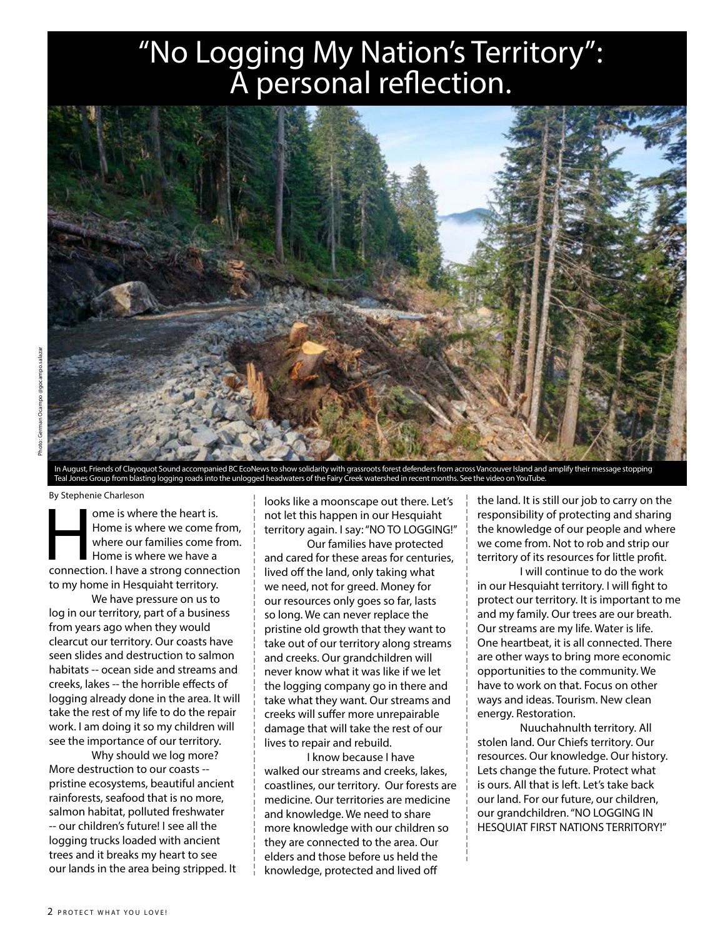### "No Logging My Nation's Territory": A personal reflection.



In August, Friends of Clayoquot Sound accompanied BC EcoNews to show solidarity with grassroots forest defenders from across Vancouver Island and amplify their message stopping Teal Jones Group from blasting logging roads into the unlogged headwaters of the Fairy Creek watershed in recent months. See the video on YouTube.

By Stephenie Charleson

ome is where the heart is.<br>
Home is where we come from,<br>
where our families come from.<br>
Home is where we have a<br>
connection. I have a strong connection Home is where we come from, where our families come from. Home is where we have a to my home in Hesquiaht territory.

We have pressure on us to log in our territory, part of a business from years ago when they would clearcut our territory. Our coasts have seen slides and destruction to salmon habitats -- ocean side and streams and creeks, lakes -- the horrible effects of logging already done in the area. It will take the rest of my life to do the repair work. I am doing it so my children will see the importance of our territory.

Why should we log more? More destruction to our coasts - pristine ecosystems, beautiful ancient rainforests, seafood that is no more, salmon habitat, polluted freshwater -- our children's future! I see all the logging trucks loaded with ancient trees and it breaks my heart to see our lands in the area being stripped. It looks like a moonscape out there. Let's not let this happen in our Hesquiaht territory again. I say: "NO TO LOGGING!"

Our families have protected and cared for these areas for centuries, lived off the land, only taking what we need, not for greed. Money for our resources only goes so far, lasts so long. We can never replace the pristine old growth that they want to take out of our territory along streams and creeks. Our grandchildren will never know what it was like if we let the logging company go in there and take what they want. Our streams and creeks will suffer more unrepairable damage that will take the rest of our lives to repair and rebuild.

I know because I have walked our streams and creeks, lakes, coastlines, our territory. Our forests are medicine. Our territories are medicine and knowledge. We need to share more knowledge with our children so they are connected to the area. Our elders and those before us held the knowledge, protected and lived off

the land. It is still our job to carry on the responsibility of protecting and sharing the knowledge of our people and where we come from. Not to rob and strip our territory of its resources for little profit.

I will continue to do the work in our Hesquiaht territory. I will fight to protect our territory. It is important to me and my family. Our trees are our breath. Our streams are my life. Water is life. One heartbeat, it is all connected. There are other ways to bring more economic opportunities to the community. We have to work on that. Focus on other ways and ideas. Tourism. New clean energy. Restoration.

Nuuchahnulth territory. All stolen land. Our Chiefs territory. Our resources. Our knowledge. Our history. Lets change the future. Protect what is ours. All that is left. Let's take back our land. For our future, our children, our grandchildren. "NO LOGGING IN HESQUIAT FIRST NATIONS TERRITORY!"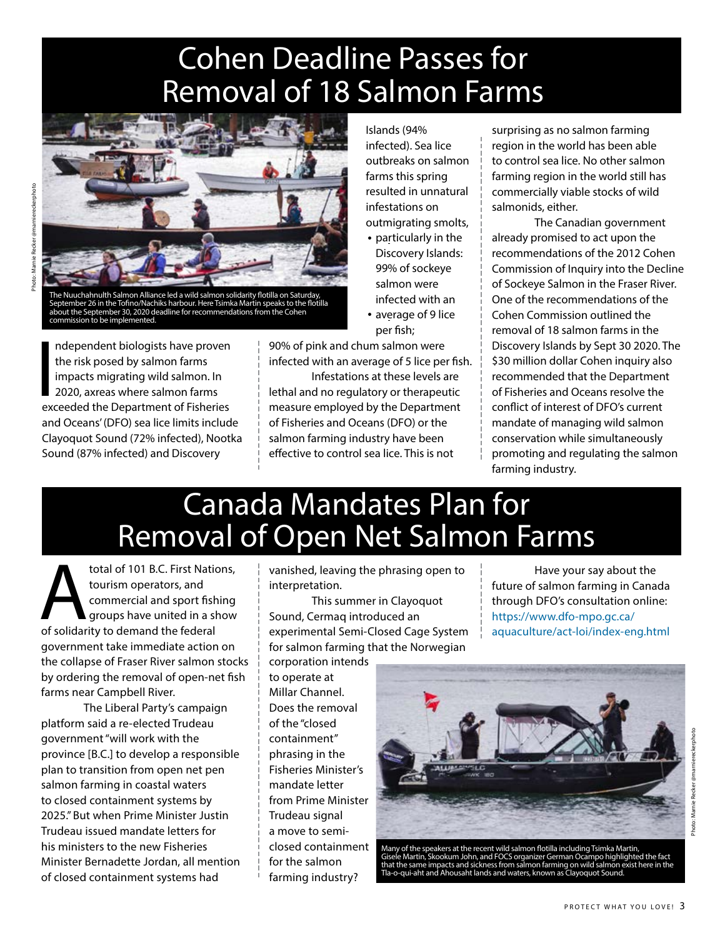# Cohen Deadline Passes for Removal of 18 Salmon Farms



The Nuuchahnulth Salmon Alliance led a wild salmon solidarity flotilla on Saturday, September 26 in the Tofino/Nachiks harbour. Here Tsimka Martin speaks to the flotilla about the September 30, 2020 deadline for recommendations from the Cohen commission to be implemented.

Independent biologists have proven<br>the risk posed by salmon farms<br>impacts migrating wild salmon. In<br>2020, axreas where salmon farms<br>exceeded the Department of Fisheries ndependent biologists have proven the risk posed by salmon farms impacts migrating wild salmon. In 2020, axreas where salmon farms and Oceans' (DFO) sea lice limits include Clayoquot Sound (72% infected), Nootka Sound (87% infected) and Discovery

Islands (94% infected). Sea lice outbreaks on salmon farms this spring resulted in unnatural infestations on outmigrating smolts,

- particularly in the Discovery Islands: 99% of sockeye salmon were infected with an
- average of 9 lice per fish;

90% of pink and chum salmon were infected with an average of 5 lice per fish. Infestations at these levels are

lethal and no regulatory or therapeutic measure employed by the Department of Fisheries and Oceans (DFO) or the salmon farming industry have been effective to control sea lice. This is not

surprising as no salmon farming region in the world has been able to control sea lice. No other salmon farming region in the world still has commercially viable stocks of wild salmonids, either.

The Canadian government already promised to act upon the recommendations of the 2012 Cohen Commission of Inquiry into the Decline of Sockeye Salmon in the Fraser River. One of the recommendations of the Cohen Commission outlined the removal of 18 salmon farms in the Discovery Islands by Sept 30 2020. The \$30 million dollar Cohen inquiry also recommended that the Department of Fisheries and Oceans resolve the conflict of interest of DFO's current mandate of managing wild salmon conservation while simultaneously promoting and regulating the salmon farming industry.

## Canada Mandates Plan for Removal of Open Net Salmon Farms

total of 101 B.C. First Nations,<br>
tourism operators, and<br>
commercial and sport fishing<br>
groups have united in a show<br>
of solidarity to demand the federal tourism operators, and commercial and sport fishing groups have united in a show government take immediate action on the collapse of Fraser River salmon stocks by ordering the removal of open-net fish farms near Campbell River.

The Liberal Party's campaign platform said a re-elected Trudeau government "will work with the province [B.C.] to develop a responsible plan to transition from open net pen salmon farming in coastal waters to closed containment systems by 2025." But when Prime Minister Justin Trudeau issued mandate letters for his ministers to the new Fisheries Minister Bernadette Jordan, all mention of closed containment systems had

vanished, leaving the phrasing open to interpretation.

This summer in Clayoquot Sound, Cermaq introduced an experimental Semi-Closed Cage System for salmon farming that the Norwegian

corporation intends to operate at Millar Channel. Does the removal of the "closed containment" phrasing in the Fisheries Minister's mandate letter from Prime Minister Trudeau signal a move to semiclosed containment for the salmon farming industry?

Have your say about the future of salmon farming in Canada through DFO's consultation online: https://www.dfo-mpo.gc.ca/ aquaculture/act-loi/index-eng.html



Many of the speakers at the recent wild salmon flotilla including Tsimka Martin, Gisele Martin, Skookum John, and FOCS organizer German Ocampo highlighted the fact<br>that the same impacts and sickness from salmon farming on wild salmon exist here in the<br>Tla-o-qui-aht and Ahousaht lands and waters, known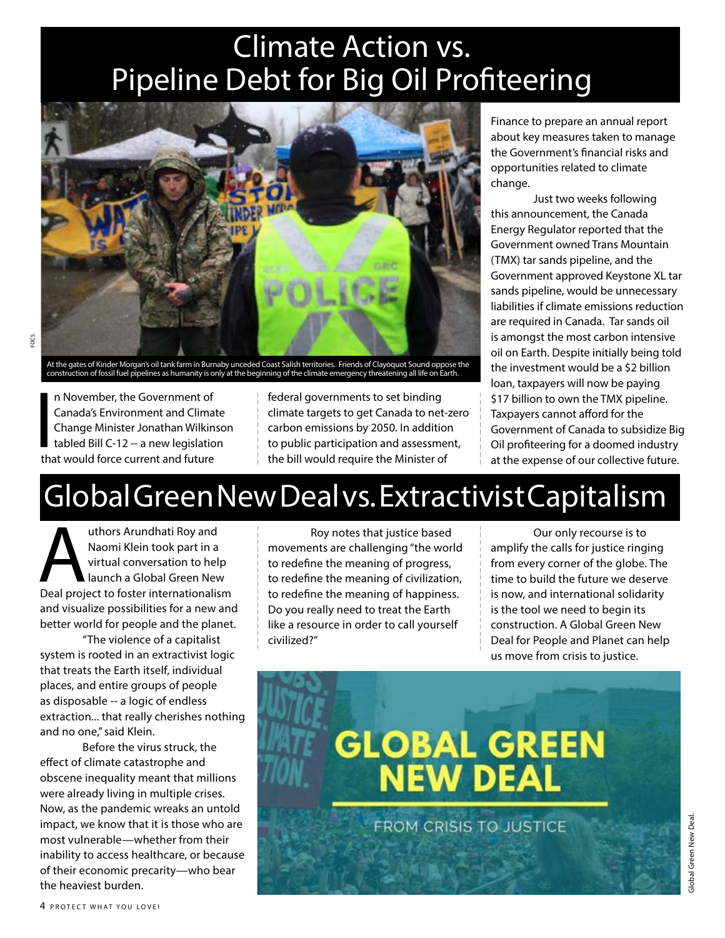## Climate Action vs. Pipeline Debt for Big Oil Profiteering



At the gates of Kinder Morgan's oil tank farm in Burnaby unceded Coast Salish territories. Friends of Clayoquot Sound oppose the<br>construction of fossil fuel pipelines as humanity is only at the beginning of the climate eme

 $\frac{1}{2}$ n November, the Government of Canada's Environment and Climate Change Minister Jonathan Wilkinson tabled Bill C-12 -- a new legislation that would force current and future

federal governments to set binding climate targets to get Canada to net-zero carbon emissions by 2050. In addition to public participation and assessment, the bill would require the Minister of

Finance to prepare an annual report about key measures taken to manage the Government's financial risks and opportunities related to climate change.

Just two weeks following this announcement, the Canada Energy Regulator reported that the Government owned Trans Mountain (TMX) tar sands pipeline, and the Government approved Keystone XL tar sands pipeline, would be unnecessary liabilities if climate emissions reduction are required in Canada. Tar sands oil is amongst the most carbon intensive oil on Earth. Despite initially being told the investment would be a \$2 billion loan, taxpayers will now be paying \$17 billion to own the TMX pipeline. Taxpayers cannot afford for the Government of Canada to subsidize Big Oil profiteering for a doomed industry at the expense of our collective future.

# Global Green New Deal vs. Extractivist Capitalism

uthors Arundhati Roy and<br>
Naomi Klein took part in a<br>
virtual conversation to help<br>
Deal project to foster internationalism Naomi Klein took part in a virtual conversation to help launch a Global Green New and visualize possibilities for a new and better world for people and the planet.

"The violence of a capitalist system is rooted in an extractivist logic that treats the Earth itself, individual places, and entire groups of people as disposable -- a logic of endless extraction... that really cherishes nothing and no one," said Klein.

Before the virus struck, the effect of climate catastrophe and obscene inequality meant that millions were already living in multiple crises. Now, as the pandemic wreaks an untold impact, we know that it is those who are most vulnerable—whether from their inability to access healthcare, or because of their economic precarity—who bear the heaviest burden.

Roy notes that justice based movements are challenging "the world to redefine the meaning of progress, to redefine the meaning of civilization, to redefine the meaning of happiness. Do you really need to treat the Earth like a resource in order to call yourself civilized?"

Our only recourse is to amplify the calls for justice ringing from every corner of the globe. The time to build the future we deserve is now, and international solidarity is the tool we need to begin its construction. A Global Green New Deal for People and Planet can help us move from crisis to justice.

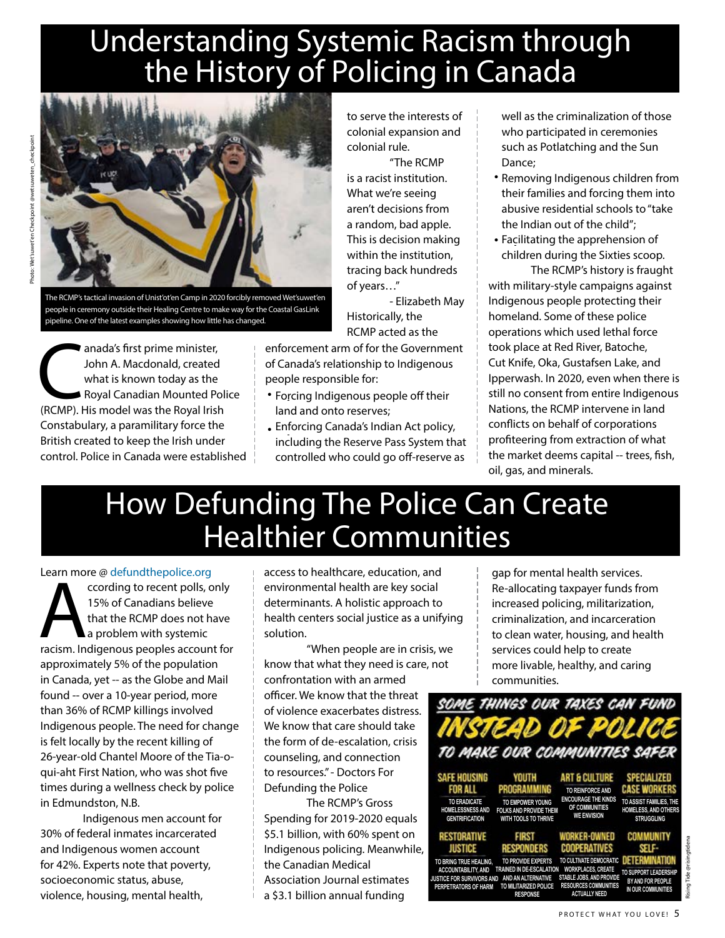# Understanding Systemic Racism through the History of Policing in Canada



The RCMP's tactical invasion of Unist'ot'en Camp in 2020 forcibly removed Wet'suwet'en people in ceremony outside their Healing Centre to make way for the Coastal GasLink pipeline. One of the latest examples showing how little has changed.

anada's first prime minister,<br>
John A. Macdonald, created<br>
what is known today as the<br>
Royal Canadian Mounted Pol<br>
(RCMP). His model was the Royal Irish John A. Macdonald, created what is known today as the Royal Canadian Mounted Police Constabulary, a paramilitary force the British created to keep the Irish under control. Police in Canada were established to serve the interests of colonial expansion and colonial rule.

"The RCMP is a racist institution. What we're seeing aren't decisions from a random, bad apple. This is decision making within the institution, tracing back hundreds of years…"

- Elizabeth May Historically, the RCMP acted as the

enforcement arm of for the Government of Canada's relationship to Indigenous people responsible for:

- Forcing Indigenous people off their land and onto reserves;
- Enforcing Canada's Indian Act policy, • including the Reserve Pass System that controlled who could go off-reserve as

well as the criminalization of those who participated in ceremonies such as Potlatching and the Sun Dance;

- Removing Indigenous children from their families and forcing them into abusive residential schools to "take the Indian out of the child";
- Facilitating the apprehension of • children during the Sixties scoop.

The RCMP's history is fraught with military-style campaigns against Indigenous people protecting their homeland. Some of these police operations which used lethal force took place at Red River, Batoche, Cut Knife, Oka, Gustafsen Lake, and Ipperwash. In 2020, even when there is still no consent from entire Indigenous Nations, the RCMP intervene in land conflicts on behalf of corporations profiteering from extraction of what the market deems capital -- trees, fish, oil, gas, and minerals.

### How Defunding The Police Can Create Healthier Communities

#### Learn more @ defundthepolice.org

Econtribute & detailed interpretent polls, only<br>
15% of Canadians believe<br>
that the RCMP does not have<br>
a problem with systemic<br>
racism. Indigenous peoples account for 15% of Canadians believe that the RCMP does not have a problem with systemic approximately 5% of the population in Canada, yet -- as the Globe and Mail found -- over a 10-year period, more than 36% of RCMP killings involved Indigenous people. The need for change is felt locally by the recent killing of 26-year-old Chantel Moore of the Tia-oqui-aht First Nation, who was shot five times during a wellness check by police in Edmundston, N.B.

Indigenous men account for 30% of federal inmates incarcerated and Indigenous women account for 42%. Experts note that poverty, socioeconomic status, abuse, violence, housing, mental health,

access to healthcare, education, and environmental health are key social determinants. A holistic approach to health centers social justice as a unifying solution.

"When people are in crisis, we know that what they need is care, not confrontation with an armed

officer. We know that the threat of violence exacerbates distress. We know that care should take the form of de-escalation, crisis counseling, and connection to resources." - Doctors For Defunding the Police

The RCMP's Gross Spending for 2019-2020 equals \$5.1 billion, with 60% spent on Indigenous policing. Meanwhile, the Canadian Medical Association Journal estimates a \$3.1 billion annual funding

gap for mental health services. Re-allocating taxpayer funds from increased policing, militarization, criminalization, and incarceration to clean water, housing, and health services could help to create more livable, healthy, and caring communities.

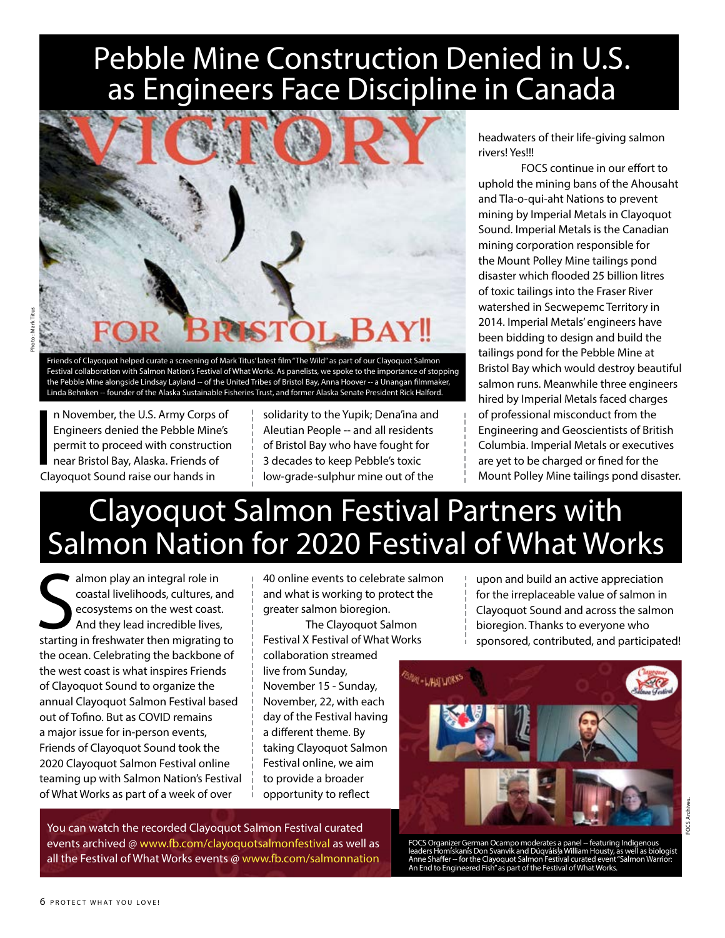# Pebble Mine Construction Denied in U.S. as Engineers Face Discipline in Canada



Friends of Clayoquot helped curate a screening of Mark Titus' latest film "The Wild" as part of our Clayoquot Salmon Festival collaboration with Salmon Nation's Festival of What Works. As panelists, we spoke to the importance of stopping the Pebble Mine alongside Lindsay Layland -- of the United Tribes of Bristol Bay, Anna Hoover -- a Unangan filmmaker, Linda Behnken -- founder of the Alaska Sustainable Fisheries Trust, and former Alaska Senate President Rick Halford.

In November, the U.S. Army Corps<br>
Engineers denied the Pebble Mino<br>
permit to proceed with construction<br>
near Bristol Bay, Alaska. Friends of<br>
Clayoquot Sound raise our hands in n November, the U.S. Army Corps of Engineers denied the Pebble Mine's permit to proceed with construction near Bristol Bay, Alaska. Friends of

solidarity to the Yupik; Dena'ina and Aleutian People -- and all residents of Bristol Bay who have fought for 3 decades to keep Pebble's toxic low-grade-sulphur mine out of the

headwaters of their life-giving salmon rivers! Yes!!!

FOCS continue in our effort to uphold the mining bans of the Ahousaht and Tla-o-qui-aht Nations to prevent mining by Imperial Metals in Clayoquot Sound. Imperial Metals is the Canadian mining corporation responsible for the Mount Polley Mine tailings pond disaster which flooded 25 billion litres of toxic tailings into the Fraser River watershed in Secwepemc Territory in 2014. Imperial Metals' engineers have been bidding to design and build the tailings pond for the Pebble Mine at Bristol Bay which would destroy beautiful salmon runs. Meanwhile three engineers hired by Imperial Metals faced charges of professional misconduct from the Engineering and Geoscientists of British Columbia. Imperial Metals or executives are yet to be charged or fined for the Mount Polley Mine tailings pond disaster.

# Clayoquot Salmon Festival Partners with Salmon Nation for 2020 Festival of What Works

almon play an integral role in constal livelihoods, cultures, and constal livelihoods, cultures, and expected the expreciation of salmon expreciation of salmon expreciation of salmon expressions on the west coast.<br>
And the almon play an integral role in coastal livelihoods, cultures, and ecosystems on the west coast. And they lead incredible lives, starting in freshwater then migrating to the ocean. Celebrating the backbone of the west coast is what inspires Friends of Clayoquot Sound to organize the annual Clayoquot Salmon Festival based out of Tofino. But as COVID remains a major issue for in-person events, Friends of Clayoquot Sound took the 2020 Clayoquot Salmon Festival online teaming up with Salmon Nation's Festival of What Works as part of a week of over

40 online events to celebrate salmon and what is working to protect the greater salmon bioregion.

The Clayoquot Salmon Festival X Festival of What Works collaboration streamed live from Sunday, November 15 - Sunday, November, 22, with each day of the Festival having a different theme. By taking Clayoquot Salmon Festival online, we aim to provide a broader opportunity to reflect

You can watch the recorded Clayoquot Salmon Festival curated events archived @ www.fb.com/clayoquotsalmonfestival as well as all the Festival of What Works events @ www.fb.com/salmonnation

upon and build an active appreciation for the irreplaceable value of salmon in Clayoquot Sound and across the salmon sponsored, contributed, and participated!



FOCS Organizer German Ocampo moderates a panel -- featuring Indigenous<br>leaders Homískanís Don Svanvik and Dúqváísla William Housty, as well as biologist<br>Anne Shaffer -- for the Clayoquot Salmon Festival curated event "Salm Ech German Stampo moderates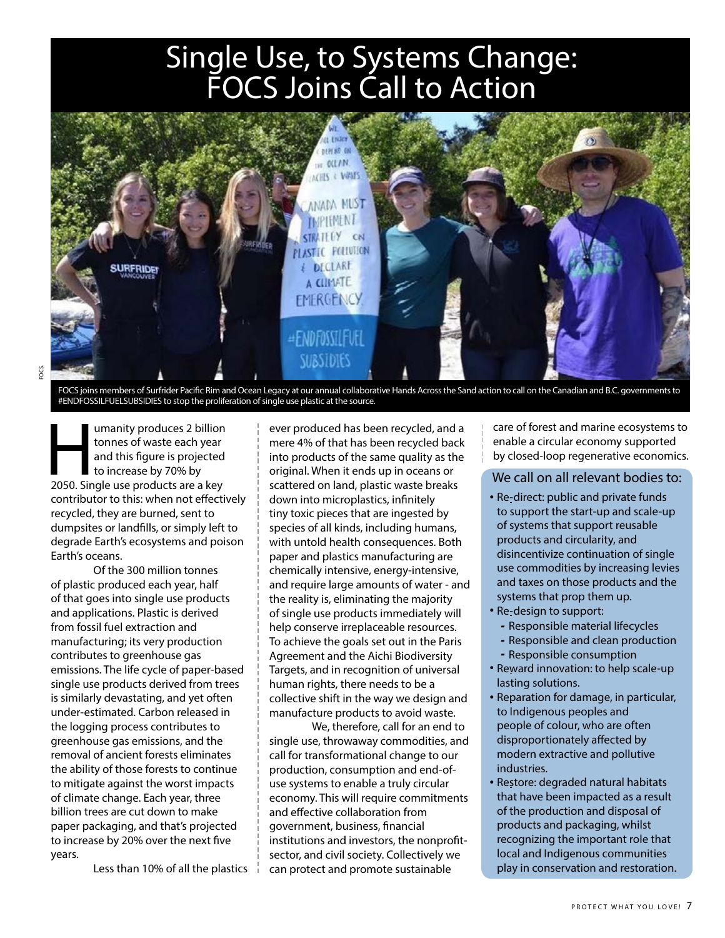## Single Use, to Systems Change: FOCS Joins Call to Action



FOCS joins members of Surfrider Pacific Rim and Ocean Legacy at our annual collaborative Hands Across the Sand action to call on the Canadian and B.C. governments to #ENDFOSSILFUELSUBSIDIES to stop the proliferation of single use plastic at the source.

Imanity produces 2 billion<br>
tonnes of waste each year<br>
and this figure is projected<br>
to increase by 70% by<br>
2050. Single use products are a key tonnes of waste each year and this figure is projected to increase by 70% by contributor to this: when not effectively recycled, they are burned, sent to dumpsites or landfills, or simply left to degrade Earth's ecosystems and poison Earth's oceans.

Of the 300 million tonnes of plastic produced each year, half of that goes into single use products and applications. Plastic is derived from fossil fuel extraction and manufacturing; its very production contributes to greenhouse gas emissions. The life cycle of paper-based single use products derived from trees is similarly devastating, and yet often under-estimated. Carbon released in the logging process contributes to greenhouse gas emissions, and the removal of ancient forests eliminates the ability of those forests to continue to mitigate against the worst impacts of climate change. Each year, three billion trees are cut down to make paper packaging, and that's projected to increase by 20% over the next five years.

Less than 10% of all the plastics

ever produced has been recycled, and a mere 4% of that has been recycled back into products of the same quality as the original. When it ends up in oceans or scattered on land, plastic waste breaks down into microplastics, infinitely tiny toxic pieces that are ingested by species of all kinds, including humans, with untold health consequences. Both paper and plastics manufacturing are chemically intensive, energy-intensive, and require large amounts of water - and the reality is, eliminating the majority of single use products immediately will help conserve irreplaceable resources. To achieve the goals set out in the Paris Agreement and the Aichi Biodiversity Targets, and in recognition of universal human rights, there needs to be a collective shift in the way we design and manufacture products to avoid waste.

We, therefore, call for an end to single use, throwaway commodities, and call for transformational change to our production, consumption and end-ofuse systems to enable a truly circular economy. This will require commitments and effective collaboration from government, business, financial institutions and investors, the nonprofitsector, and civil society. Collectively we can protect and promote sustainable

care of forest and marine ecosystems to enable a circular economy supported by closed-loop regenerative economics.

#### We call on all relevant bodies to:

- Re-direct: public and private funds to support the start-up and scale-up of systems that support reusable products and circularity, and disincentivize continuation of single use commodities by increasing levies and taxes on those products and the systems that prop them up.
- Re-design to support:
- Responsible material lifecycles
- Responsible and clean production
- Responsible consumption
- Reward innovation: to help scale-up lasting solutions.
- Reparation for damage, in particular, • to Indigenous peoples and people of colour, who are often disproportionately affected by modern extractive and pollutive industries.
- Restore: degraded natural habitats • that have been impacted as a result of the production and disposal of products and packaging, whilst recognizing the important role that local and Indigenous communities play in conservation and restoration.